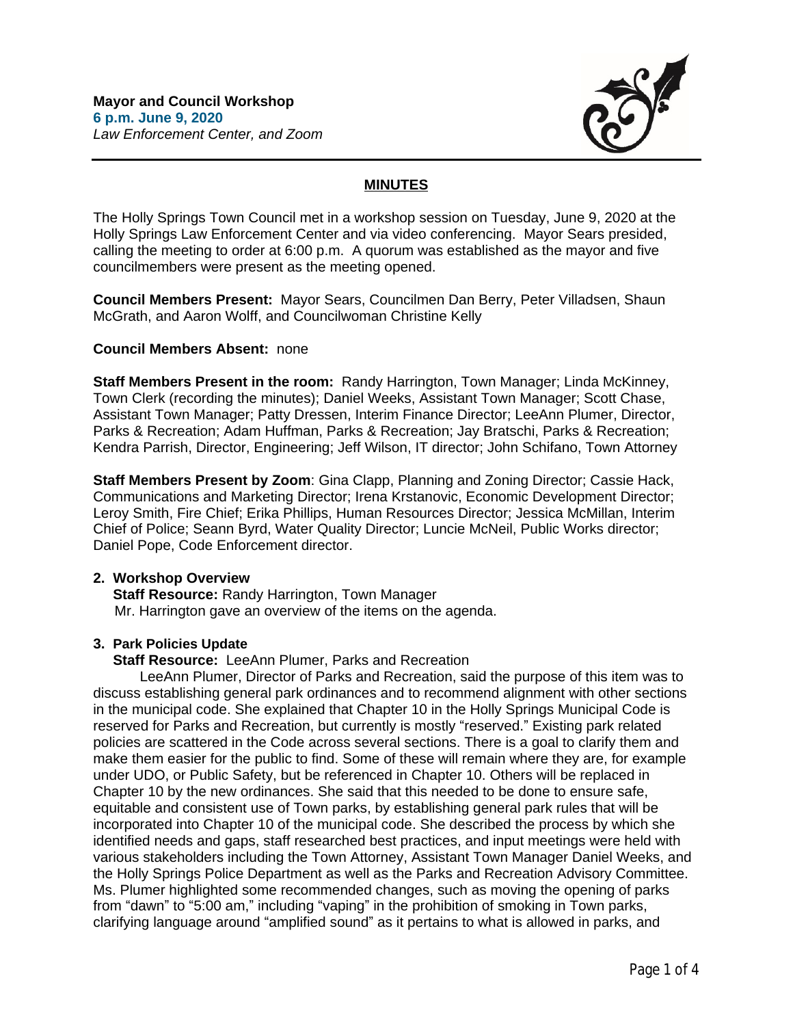

# **MINUTES**

The Holly Springs Town Council met in a workshop session on Tuesday, June 9, 2020 at the Holly Springs Law Enforcement Center and via video conferencing. Mayor Sears presided, calling the meeting to order at 6:00 p.m. A quorum was established as the mayor and five councilmembers were present as the meeting opened.

**Council Members Present:** Mayor Sears, Councilmen Dan Berry, Peter Villadsen, Shaun McGrath, and Aaron Wolff, and Councilwoman Christine Kelly

### **Council Members Absent:** none

**Staff Members Present in the room:** Randy Harrington, Town Manager; Linda McKinney, Town Clerk (recording the minutes); Daniel Weeks, Assistant Town Manager; Scott Chase, Assistant Town Manager; Patty Dressen, Interim Finance Director; LeeAnn Plumer, Director, Parks & Recreation; Adam Huffman, Parks & Recreation; Jay Bratschi, Parks & Recreation; Kendra Parrish, Director, Engineering; Jeff Wilson, IT director; John Schifano, Town Attorney

**Staff Members Present by Zoom**: Gina Clapp, Planning and Zoning Director; Cassie Hack, Communications and Marketing Director; Irena Krstanovic, Economic Development Director; Leroy Smith, Fire Chief; Erika Phillips, Human Resources Director; Jessica McMillan, Interim Chief of Police; Seann Byrd, Water Quality Director; Luncie McNeil, Public Works director; Daniel Pope, Code Enforcement director.

# **2. Workshop Overview**

 **Staff Resource:** Randy Harrington, Town Manager Mr. Harrington gave an overview of the items on the agenda.

# **3. Park Policies Update**

 **Staff Resource:** LeeAnn Plumer, Parks and Recreation

LeeAnn Plumer, Director of Parks and Recreation, said the purpose of this item was to discuss establishing general park ordinances and to recommend alignment with other sections in the municipal code. She explained that Chapter 10 in the Holly Springs Municipal Code is reserved for Parks and Recreation, but currently is mostly "reserved." Existing park related policies are scattered in the Code across several sections. There is a goal to clarify them and make them easier for the public to find. Some of these will remain where they are, for example under UDO, or Public Safety, but be referenced in Chapter 10. Others will be replaced in Chapter 10 by the new ordinances. She said that this needed to be done to ensure safe, equitable and consistent use of Town parks, by establishing general park rules that will be incorporated into Chapter 10 of the municipal code. She described the process by which she identified needs and gaps, staff researched best practices, and input meetings were held with various stakeholders including the Town Attorney, Assistant Town Manager Daniel Weeks, and the Holly Springs Police Department as well as the Parks and Recreation Advisory Committee. Ms. Plumer highlighted some recommended changes, such as moving the opening of parks from "dawn" to "5:00 am," including "vaping" in the prohibition of smoking in Town parks, clarifying language around "amplified sound" as it pertains to what is allowed in parks, and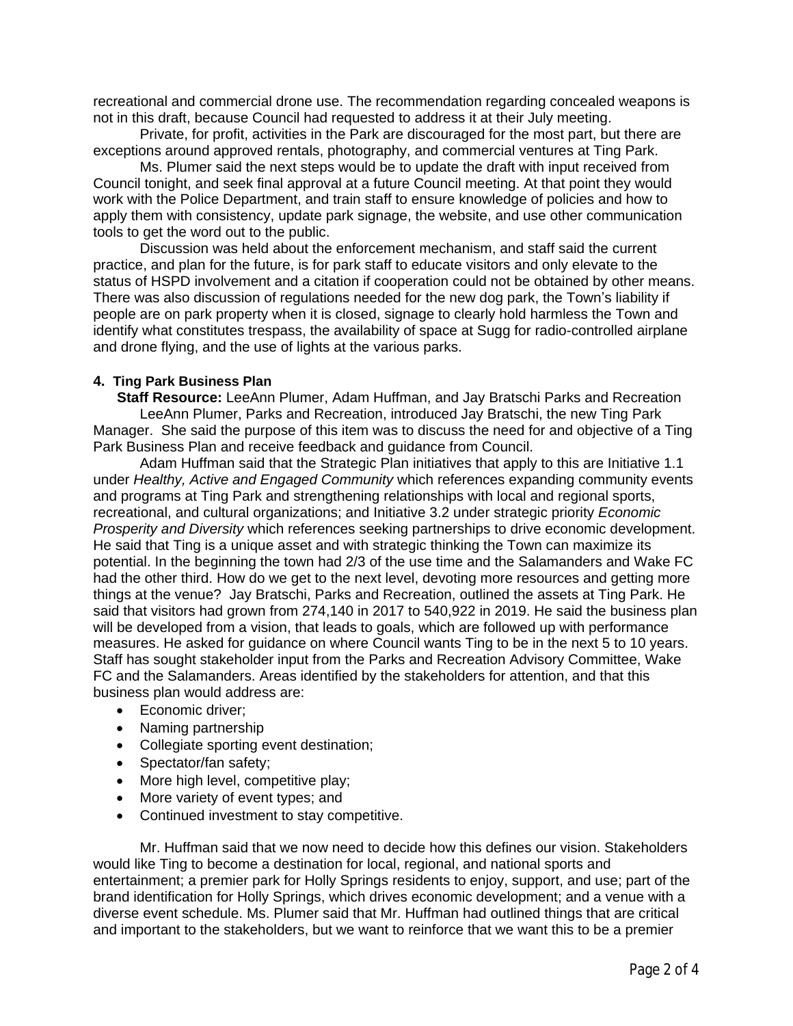recreational and commercial drone use. The recommendation regarding concealed weapons is not in this draft, because Council had requested to address it at their July meeting.

Private, for profit, activities in the Park are discouraged for the most part, but there are exceptions around approved rentals, photography, and commercial ventures at Ting Park.

Ms. Plumer said the next steps would be to update the draft with input received from Council tonight, and seek final approval at a future Council meeting. At that point they would work with the Police Department, and train staff to ensure knowledge of policies and how to apply them with consistency, update park signage, the website, and use other communication tools to get the word out to the public.

Discussion was held about the enforcement mechanism, and staff said the current practice, and plan for the future, is for park staff to educate visitors and only elevate to the status of HSPD involvement and a citation if cooperation could not be obtained by other means. There was also discussion of regulations needed for the new dog park, the Town's liability if people are on park property when it is closed, signage to clearly hold harmless the Town and identify what constitutes trespass, the availability of space at Sugg for radio-controlled airplane and drone flying, and the use of lights at the various parks.

### **4. Ting Park Business Plan**

 **Staff Resource:** LeeAnn Plumer, Adam Huffman, and Jay Bratschi Parks and Recreation LeeAnn Plumer, Parks and Recreation, introduced Jay Bratschi, the new Ting Park Manager. She said the purpose of this item was to discuss the need for and objective of a Ting Park Business Plan and receive feedback and guidance from Council.

Adam Huffman said that the Strategic Plan initiatives that apply to this are Initiative 1.1 under *Healthy, Active and Engaged Community* which references expanding community events and programs at Ting Park and strengthening relationships with local and regional sports, recreational, and cultural organizations; and Initiative 3.2 under strategic priority *Economic Prosperity and Diversity* which references seeking partnerships to drive economic development. He said that Ting is a unique asset and with strategic thinking the Town can maximize its potential. In the beginning the town had 2/3 of the use time and the Salamanders and Wake FC had the other third. How do we get to the next level, devoting more resources and getting more things at the venue? Jay Bratschi, Parks and Recreation, outlined the assets at Ting Park. He said that visitors had grown from 274,140 in 2017 to 540,922 in 2019. He said the business plan will be developed from a vision, that leads to goals, which are followed up with performance measures. He asked for guidance on where Council wants Ting to be in the next 5 to 10 years. Staff has sought stakeholder input from the Parks and Recreation Advisory Committee, Wake FC and the Salamanders. Areas identified by the stakeholders for attention, and that this business plan would address are:

- Economic driver:
- · Naming partnership
- · Collegiate sporting event destination;
- Spectator/fan safety;
- · More high level, competitive play;
- · More variety of event types; and
- · Continued investment to stay competitive.

Mr. Huffman said that we now need to decide how this defines our vision. Stakeholders would like Ting to become a destination for local, regional, and national sports and entertainment; a premier park for Holly Springs residents to enjoy, support, and use; part of the brand identification for Holly Springs, which drives economic development; and a venue with a diverse event schedule. Ms. Plumer said that Mr. Huffman had outlined things that are critical and important to the stakeholders, but we want to reinforce that we want this to be a premier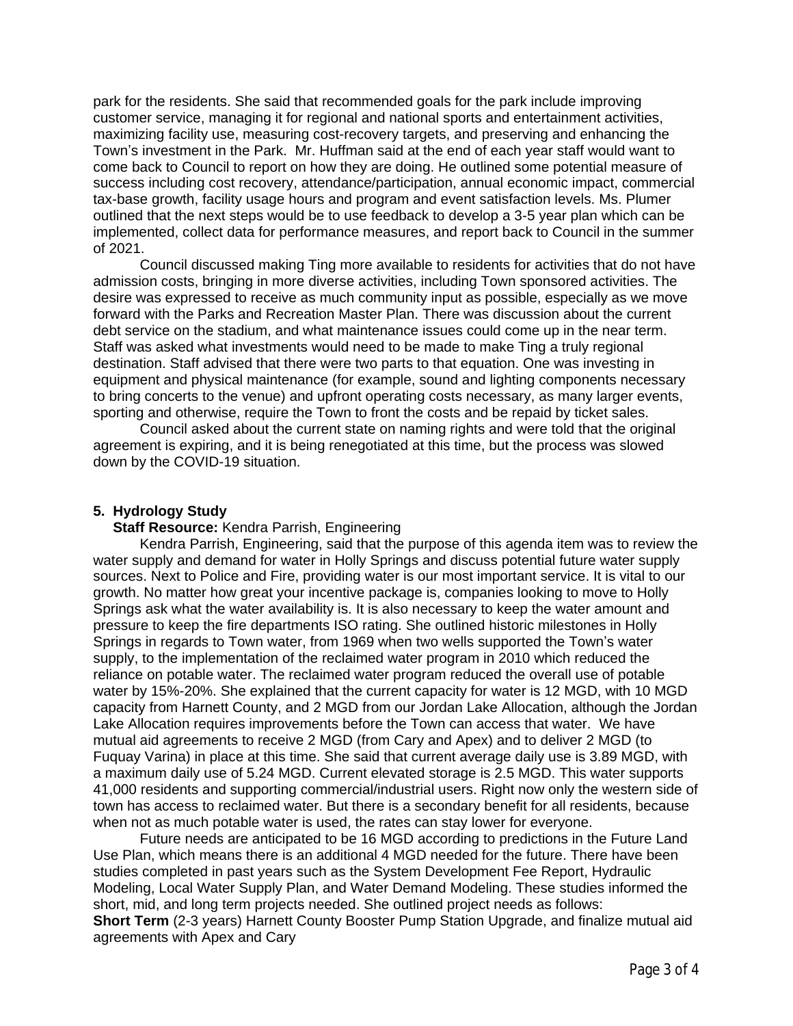park for the residents. She said that recommended goals for the park include improving customer service, managing it for regional and national sports and entertainment activities, maximizing facility use, measuring cost-recovery targets, and preserving and enhancing the Town's investment in the Park. Mr. Huffman said at the end of each year staff would want to come back to Council to report on how they are doing. He outlined some potential measure of success including cost recovery, attendance/participation, annual economic impact, commercial tax-base growth, facility usage hours and program and event satisfaction levels. Ms. Plumer outlined that the next steps would be to use feedback to develop a 3-5 year plan which can be implemented, collect data for performance measures, and report back to Council in the summer of 2021.

Council discussed making Ting more available to residents for activities that do not have admission costs, bringing in more diverse activities, including Town sponsored activities. The desire was expressed to receive as much community input as possible, especially as we move forward with the Parks and Recreation Master Plan. There was discussion about the current debt service on the stadium, and what maintenance issues could come up in the near term. Staff was asked what investments would need to be made to make Ting a truly regional destination. Staff advised that there were two parts to that equation. One was investing in equipment and physical maintenance (for example, sound and lighting components necessary to bring concerts to the venue) and upfront operating costs necessary, as many larger events, sporting and otherwise, require the Town to front the costs and be repaid by ticket sales.

Council asked about the current state on naming rights and were told that the original agreement is expiring, and it is being renegotiated at this time, but the process was slowed down by the COVID-19 situation.

#### **5. Hydrology Study**

#### **Staff Resource:** Kendra Parrish, Engineering

Kendra Parrish, Engineering, said that the purpose of this agenda item was to review the water supply and demand for water in Holly Springs and discuss potential future water supply sources. Next to Police and Fire, providing water is our most important service. It is vital to our growth. No matter how great your incentive package is, companies looking to move to Holly Springs ask what the water availability is. It is also necessary to keep the water amount and pressure to keep the fire departments ISO rating. She outlined historic milestones in Holly Springs in regards to Town water, from 1969 when two wells supported the Town's water supply, to the implementation of the reclaimed water program in 2010 which reduced the reliance on potable water. The reclaimed water program reduced the overall use of potable water by 15%-20%. She explained that the current capacity for water is 12 MGD, with 10 MGD capacity from Harnett County, and 2 MGD from our Jordan Lake Allocation, although the Jordan Lake Allocation requires improvements before the Town can access that water. We have mutual aid agreements to receive 2 MGD (from Cary and Apex) and to deliver 2 MGD (to Fuquay Varina) in place at this time. She said that current average daily use is 3.89 MGD, with a maximum daily use of 5.24 MGD. Current elevated storage is 2.5 MGD. This water supports 41,000 residents and supporting commercial/industrial users. Right now only the western side of town has access to reclaimed water. But there is a secondary benefit for all residents, because when not as much potable water is used, the rates can stay lower for everyone.

Future needs are anticipated to be 16 MGD according to predictions in the Future Land Use Plan, which means there is an additional 4 MGD needed for the future. There have been studies completed in past years such as the System Development Fee Report, Hydraulic Modeling, Local Water Supply Plan, and Water Demand Modeling. These studies informed the short, mid, and long term projects needed. She outlined project needs as follows: **Short Term** (2-3 years) Harnett County Booster Pump Station Upgrade, and finalize mutual aid agreements with Apex and Cary